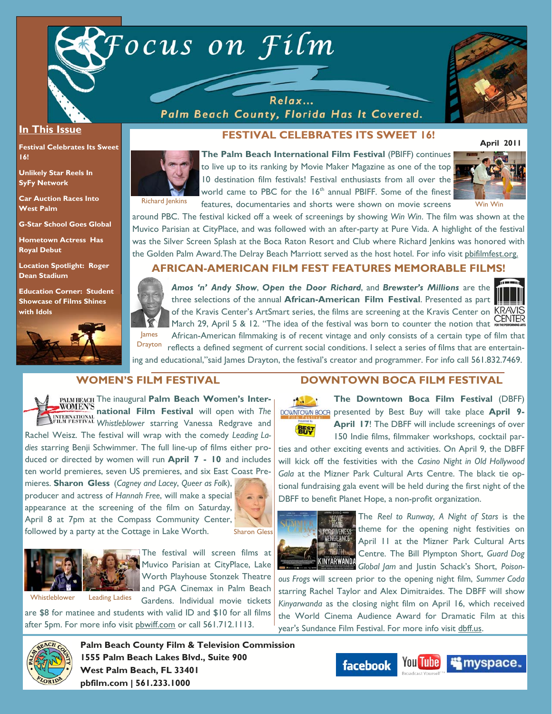

Relax... Palm Beach County, Florida Has It Covered.



#### **In This Issue**

**Festival Celebrates Its Sweet 16!** 

**Unlikely Star Reels In SyFy Network** 

**Car Auction Races Into West Palm** 

**G-Star School Goes Global** 

**Hometown Actress Has Royal Debut** 

**Location Spotlight: Roger Dean Stadium** 

**Education Corner: Student Showcase of Films Shines with Idols**



# **FESTIVAL CELEBRATES ITS SWEET 16!**



**The Palm Beach International Film Festival** (PBIFF) continues to live up to its ranking by Movie Maker Magazine as one of the top 10 destination film festivals! Festival enthusiasts from all over the world came to PBC for the  $16<sup>th</sup>$  annual PBIFF. Some of the finest Richard Jenkins features, documentaries and shorts were shown on movie screens Win Win



around PBC. The festival kicked off a week of screenings by showing *Win Win*. The film was shown at the Muvico Parisian at CityPlace, and was followed with an after-party at Pure Vida. A highlight of the festival was the Silver Screen Splash at the Boca Raton Resort and Club where Richard Jenkins was honored with the Golden Palm Award.The Delray Beach Marriott served as the host hotel. For info visit pbifilmfest.org.

## **AFRICAN-AMERICAN FILM FEST FEATURES MEMORABLE FILMS!**



*Amos 'n' Andy Show*, *Open the Door Richard*, and *Brewster's Millions* are the three selections of the annual **African-American Film Festival**. Presented as part of the Kravis Center's ArtSmart series, the films are screening at the Kravis Center on KRAVIS March 29, April 5 & 12. "The idea of the festival was born to counter the notion that **CENTER** 

African-American filmmaking is of recent vintage and only consists of a certain type of film that reflects a defined segment of current social conditions. I select a series of films that are entertaining and educational,"said James Drayton, the festival's creator and programmer. For info call 561.832.7469. **Drayton** 

### **WOMEN'S FILM FESTIVAL**

PALM BEACH The inaugural **Palm Beach Women's Inter-WOMEN'S national Film Festival** will open with *The Whistleblower* starring Vanessa Redgrave and Rachel Weisz. The festival will wrap with the comedy *Leading Ladies* starring Benji Schwimmer. The full line-up of films either produced or directed by women will run **April 7 - 10** and includes ten world premieres, seven US premieres, and six East Coast Pre-

mieres. **Sharon Gless** (*Cagney and Lacey*, *Queer as Folk*), producer and actress of *Hannah Free*, will make a special appearance at the screening of the film on Saturday, April 8 at 7pm at the Compass Community Center, followed by a party at the Cottage in Lake Worth.





The festival will screen films at Muvico Parisian at CityPlace, Lake Worth Playhouse Stonzek Theatre and PGA Cinemax in Palm Beach

Gardens. Individual movie tickets are \$8 for matinee and students with valid ID and \$10 for all films

after 5pm. For more info visit pbwiff.com or call 561.712.1113.



**BHST** 

**The Downtown Boca Film Festival** (DBFF)  $\sim$ **DOWNTOWN BOCA** presented by Best Buy will take place April 9-

**DOWNTOWN BOCA FILM FESTIVAL** 

April 17! The DBFF will include screenings of over 150 Indie films, filmmaker workshops, cocktail par-

ties and other exciting events and activities. On April 9, the DBFF will kick off the festivities with the *Casino Night in Old Hollywood Gala* at the Mizner Park Cultural Arts Centre. The black tie optional fundraising gala event will be held during the first night of the DBFF to benefit Planet Hope, a non-profit organization.



The *Reel to Runway, A Night of Stars* is the theme for the opening night festivities on April 11 at the Mizner Park Cultural Arts Centre. The Bill Plympton Short, *Guard Dog Global Jam* and Justin Schack's Short, *Poison-*

*ous Frogs* will screen prior to the opening night film, *Summer Coda*  starring Rachel Taylor and Alex Dimitraides. The DBFF will show *Kinyarwanda* as the closing night film on April 16, which received the World Cinema Audience Award for Dramatic Film at this year's Sundance Film Festival. For more info visit dbff.us.



**Palm Beach County Film & Television Commission 1555 Palm Beach Lakes Blvd., Suite 900 West Palm Beach, FL 33401 pbfilm.com | 561.233.1000** 

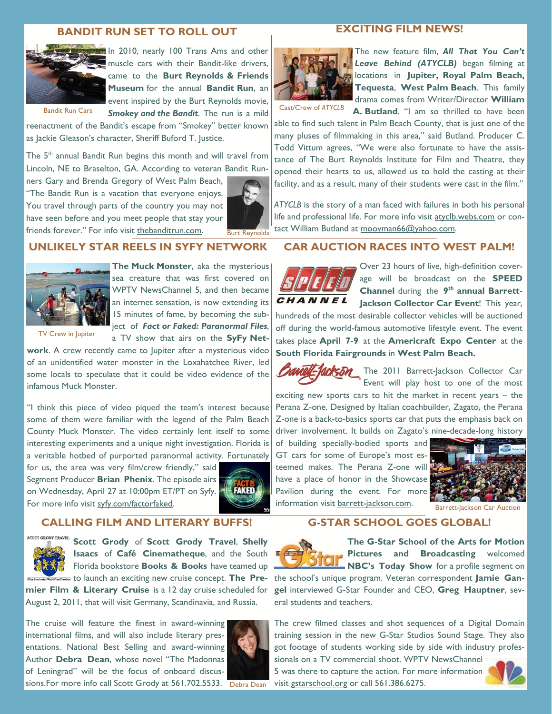#### **BANDIT RUN SET TO ROLL OUT**



In 2010, nearly 100 Trans Ams and other muscle cars with their Bandit-like drivers, came to the **Burt Reynolds & Friends Museum** for the annual **Bandit Run**, an event inspired by the Burt Reynolds movie, *Smokey and the Bandit*. The run is a mild

Bandit Run Cars

reenactment of the Bandit's escape from "Smokey" better known as Jackie Gleason's character, Sheriff Buford T. Justice.

The 5<sup>th</sup> annual Bandit Run begins this month and will travel from Lincoln, NE to Braselton, GA. According to veteran Bandit Run-

ners Gary and Brenda Gregory of West Palm Beach, "The Bandit Run is a vacation that everyone enjoys. You travel through parts of the country you may not have seen before and you meet people that stay your friends forever." For info visit thebanditrun.com.



#### **UNLIKELY STAR REELS IN SYFY NETWORK**



**The Muck Monster**, aka the mysterious sea creature that was first covered on

TV Crew in Jupiter

WPTV NewsChannel 5, and then became an internet sensation, is now extending its 15 minutes of fame, by becoming the subject of *Fact or Faked: Paranormal Files*, a TV show that airs on the **SyFy Net-**

**work**. A crew recently came to Jupiter after a mysterious video of an unidentified water monster in the Loxahatchee River, led some locals to speculate that it could be video evidence of the infamous Muck Monster.

"I think this piece of video piqued the team's interest because some of them were familiar with the legend of the Palm Beach County Muck Monster. The video certainly lent itself to some interesting experiments and a unique night investigation. Florida is a veritable hotbed of purported paranormal activity. Fortunately

for us, the area was very film/crew friendly," said Segment Producer **Brian Phenix**. The episode airs on Wednesday, April 27 at 10:00pm ET/PT on Syfy. For more info visit syfy.com/factorfaked.



# **CALLING FILM AND LITERARY BUFFS!**



**Scott Grody** of **Scott Grody Travel**, **Shelly Isaacs** of **Café Cinematheque**, and the South Florida bookstore **Books & Books** have teamed up to launch an exciting new cruise concept. **The Pre-**

**mier Film & Literary Cruise** is a 12 day cruise scheduled for August 2, 2011, that will visit Germany, Scandinavia, and Russia.

The cruise will feature the finest in award-winning international films, and will also include literary presentations. National Best Selling and award-winning Author **Debra Dean**, whose novel "The Madonnas of Leningrad" will be the focus of onboard discussions.For more info call Scott Grody at 561.702.5533. Debra Dean



## **EXCITING FILM NEWS!**



The new feature film, *All That You Can't Leave Behind (ATYCLB)* began filming at locations in **Jupiter, Royal Palm Beach, Tequesta**, **West Palm Beach**. This family drama comes from Writer/Director **William A. Butland**. "I am so thrilled to have been

Cast/Crew of *ATYCLB*

able to find such talent in Palm Beach County, that is just one of the many pluses of filmmaking in this area," said Butland. Producer C. Todd Vittum agrees, "We were also fortunate to have the assistance of The Burt Reynolds Institute for Film and Theatre, they opened their hearts to us, allowed us to hold the casting at their facility, and as a result, many of their students were cast in the film."

*ATYCLB* is the story of a man faced with failures in both his personal life and professional life. For more info visit atyclb.webs.com or contact William Butland at moovman66@yahoo.com.

## **CAR AUCTION RACES INTO WEST PALM!**



Over 23 hours of live, high-definition coverage will be broadcast on the **SPEED Channel** during the **9th annual Barrett-Jackson Collector Car Event**! This year,

hundreds of the most desirable collector vehicles will be auctioned off during the world-famous automotive lifestyle event. The event takes place **April 7-9** at the **Americraft Expo Center** at the **South Florida Fairgrounds** in **West Palm Beach.**



**BantIL-Jackson** The 2011 Barrett-Jackson Collector Car Event will play host to one of the most

exciting new sports cars to hit the market in recent years – the Perana Z-one. Designed by Italian coachbuilder, Zagato, the Perana Z-one is a back-to-basics sports car that puts the emphasis back on driver involvement. It builds on Zagato's nine-decade-long history

of building specially-bodied sports and GT cars for some of Europe's most esteemed makes. The Perana Z-one will have a place of honor in the Showcase Pavilion during the event. For more information visit barrett-jackson.com.<br>Barrett-Jackson Car Auction



### **G-STAR SCHOOL GOES GLOBAL!**



**The G-Star School of the Arts for Motion Pictures and Broadcasting** welcomed **NICIP** NBC's Today Show for a profile segment on

the school's unique program. Veteran correspondent **Jamie Gangel** interviewed G-Star Founder and CEO, **Greg Hauptner**, several students and teachers.

The crew filmed classes and shot sequences of a Digital Domain training session in the new G-Star Studios Sound Stage. They also got footage of students working side by side with industry professionals on a TV commercial shoot. WPTV NewsChannel

5 was there to capture the action. For more information visit gstarschool.org or call 561.386.6275.

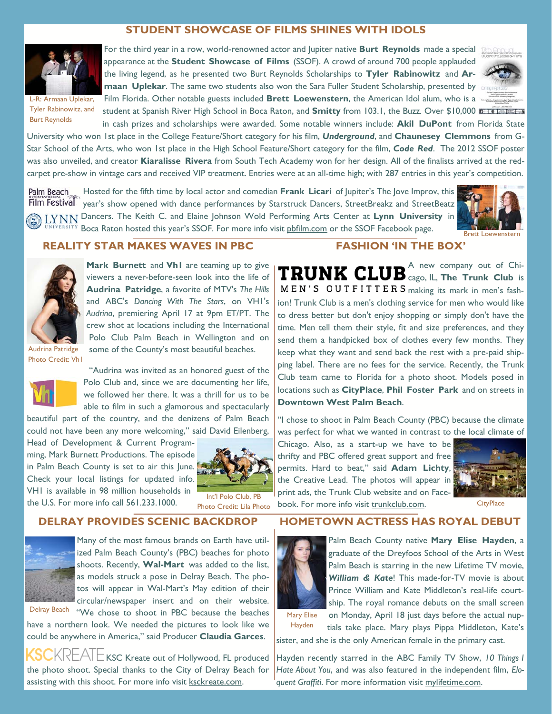### **STUDENT SHOWCASE OF FILMS SHINES WITH IDOLS**



Tyler Rabinowitz, and Burt Reynolds

For the third year in a row, world-renowned actor and Jupiter native **Burt Reynolds** made a special appearance at the **Student Showcase of Films** (SSOF). A crowd of around 700 people applauded the living legend, as he presented two Burt Reynolds Scholarships to **Tyler Rabinowitz** and **Armaan Uplekar**. The same two students also won the Sara Fuller Student Scholarship, presented by Film Florida. Other notable guests included **Brett Loewenstern**, the American Idol alum, who is a student at Spanish River High School in Boca Raton, and **Smitty** from 103.1, the Buzz. Over \$10,000



in cash prizes and scholarships were awarded. Some notable winners include: **Akil DuPont** from Florida State University who won 1st place in the College Feature/Short category for his film, *Underground*, and **Chaunesey Clemmons** from G-Star School of the Arts, who won 1st place in the High School Feature/Short category for the film, *Code Red*. The 2012 SSOF poster was also unveiled, and creator **Kiaralisse Rivera** from South Tech Academy won for her design. All of the finalists arrived at the redcarpet pre-show in vintage cars and received VIP treatment. Entries were at an all-time high; with 287 entries in this year's competition.

Hosted for the fifth time by local actor and comedian **Frank Licari** of Jupiter's The Jove Improv, this Palm Beach Film Festival<sup>®</sup> year's show opened with dance performances by Starstruck Dancers, StreetBreakz and StreetBeatz Dancers. The Keith C. and Elaine Johnson Wold Performing Arts Center at **Lynn University** in BBITY Boca Raton hosted this year's SSOF. For more info visit phfilm.com or the SSOF Facebook page.



#### **REALITY STAR MAKES WAVES IN PBC**



**Mark Burnett** and **Vh1** are teaming up to give viewers a never-before-seen look into the life of **Audrina Patridge**, a favorite of MTV's *The Hills* and ABC's *Dancing With The Stars*, on VH1's *Audrina*, premiering April 17 at 9pm ET/PT. The crew shot at locations including the International Polo Club Palm Beach in Wellington and on some of the County's most beautiful beaches.

Audrina Patridge Photo Credit: Vh1



"Audrina was invited as an honored guest of the Polo Club and, since we are documenting her life, we followed her there. It was a thrill for us to be able to film in such a glamorous and spectacularly

beautiful part of the country, and the denizens of Palm Beach could not have been any more welcoming," said David Eilenberg,

Head of Development & Current Programming, Mark Burnett Productions. The episode in Palm Beach County is set to air this June. Check your local listings for updated info. VH1 is available in 98 million households in the U.S. For more info call 561.233.1000.



Int'l Polo Club, PB Photo Credit: Lila Photo

#### **DELRAY PROVIDES SCENIC BACKDROP**



Many of the most famous brands on Earth have utilized Palm Beach County's (PBC) beaches for photo shoots. Recently, **Wal-Mart** was added to the list, as models struck a pose in Delray Beach. The photos will appear in Wal-Mart's May edition of their circular/newspaper insert and on their website. Delray Beach "We chose to shoot in PBC because the beaches

have a northern look. We needed the pictures to look like we could be anywhere in America," said Producer **Claudia Garces**.

 $\mathsf{KL}\mathsf{AL}$   $\mathsf{LM}$   $\mathsf{L}$  KSC Kreate out of Hollywood, FL produced the photo shoot. Special thanks to the City of Delray Beach for assisting with this shoot. For more info visit ksckreate.com.

### **FASHION 'IN THE BOX'**

A new company out of Chi-**TRUNK CLUB** Cago, IL, The Trunk Club is  $MEN'S OUTFITTER S$  making its mark in men's fashion! Trunk Club is a men's clothing service for men who would like to dress better but don't enjoy shopping or simply don't have the time. Men tell them their style, fit and size preferences, and they send them a handpicked box of clothes every few months. They keep what they want and send back the rest with a pre-paid shipping label. There are no fees for the service. Recently, the Trunk Club team came to Florida for a photo shoot. Models posed in locations such as **CityPlace**, **Phil Foster Park** and on streets in **Downtown West Palm Beach**.

"I chose to shoot in Palm Beach County (PBC) because the climate was perfect for what we wanted in contrast to the local climate of

Chicago. Also, as a start-up we have to be thrifty and PBC offered great support and free permits. Hard to beat," said **Adam Lichty**, the Creative Lead. The photos will appear in print ads, the Trunk Club website and on Facebook. For more info visit trunkclub.com. CityPlace



### **HOMETOWN ACTRESS HAS ROYAL DEBUT**



Palm Beach County native **Mary Elise Hayden**, a graduate of the Dreyfoos School of the Arts in West Palm Beach is starring in the new Lifetime TV movie, *William & Kate*! This made-for-TV movie is about Prince William and Kate Middleton's real-life courtship. The royal romance debuts on the small screen on Monday, April 18 just days before the actual nup-

Mary Elise

tials take place. Mary plays Pippa Middleton, Kate's sister, and she is the only American female in the primary cast. Hayden

Hayden recently starred in the ABC Family TV Show, *10 Things I Hate About You*, and was also featured in the independent film, *Eloquent Graffiti*. For more information visit mylifetime.com.